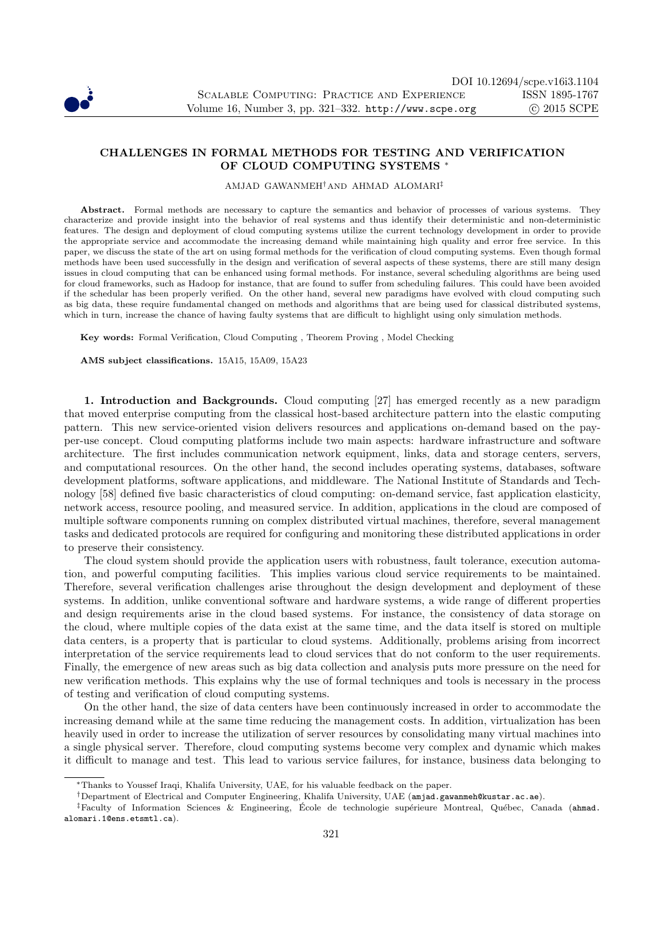

## CHALLENGES IN FORMAL METHODS FOR TESTING AND VERIFICATION OF CLOUD COMPUTING SYSTEMS <sup>∗</sup>

AMJAD GAWANMEH†AND AHMAD ALOMARI‡

Abstract. Formal methods are necessary to capture the semantics and behavior of processes of various systems. They characterize and provide insight into the behavior of real systems and thus identify their deterministic and non-deterministic features. The design and deployment of cloud computing systems utilize the current technology development in order to provide the appropriate service and accommodate the increasing demand while maintaining high quality and error free service. In this paper, we discuss the state of the art on using formal methods for the verification of cloud computing systems. Even though formal methods have been used successfully in the design and verification of several aspects of these systems, there are still many design issues in cloud computing that can be enhanced using formal methods. For instance, several scheduling algorithms are being used for cloud frameworks, such as Hadoop for instance, that are found to suffer from scheduling failures. This could have been avoided if the schedular has been properly verified. On the other hand, several new paradigms have evolved with cloud computing such as big data, these require fundamental changed on methods and algorithms that are being used for classical distributed systems, which in turn, increase the chance of having faulty systems that are difficult to highlight using only simulation methods.

Key words: Formal Verification, Cloud Computing , Theorem Proving , Model Checking

AMS subject classifications. 15A15, 15A09, 15A23

1. Introduction and Backgrounds. Cloud computing [27] has emerged recently as a new paradigm that moved enterprise computing from the classical host-based architecture pattern into the elastic computing pattern. This new service-oriented vision delivers resources and applications on-demand based on the payper-use concept. Cloud computing platforms include two main aspects: hardware infrastructure and software architecture. The first includes communication network equipment, links, data and storage centers, servers, and computational resources. On the other hand, the second includes operating systems, databases, software development platforms, software applications, and middleware. The National Institute of Standards and Technology [58] defined five basic characteristics of cloud computing: on-demand service, fast application elasticity, network access, resource pooling, and measured service. In addition, applications in the cloud are composed of multiple software components running on complex distributed virtual machines, therefore, several management tasks and dedicated protocols are required for configuring and monitoring these distributed applications in order to preserve their consistency.

The cloud system should provide the application users with robustness, fault tolerance, execution automation, and powerful computing facilities. This implies various cloud service requirements to be maintained. Therefore, several verification challenges arise throughout the design development and deployment of these systems. In addition, unlike conventional software and hardware systems, a wide range of different properties and design requirements arise in the cloud based systems. For instance, the consistency of data storage on the cloud, where multiple copies of the data exist at the same time, and the data itself is stored on multiple data centers, is a property that is particular to cloud systems. Additionally, problems arising from incorrect interpretation of the service requirements lead to cloud services that do not conform to the user requirements. Finally, the emergence of new areas such as big data collection and analysis puts more pressure on the need for new verification methods. This explains why the use of formal techniques and tools is necessary in the process of testing and verification of cloud computing systems.

On the other hand, the size of data centers have been continuously increased in order to accommodate the increasing demand while at the same time reducing the management costs. In addition, virtualization has been heavily used in order to increase the utilization of server resources by consolidating many virtual machines into a single physical server. Therefore, cloud computing systems become very complex and dynamic which makes it difficult to manage and test. This lead to various service failures, for instance, business data belonging to

<sup>∗</sup>Thanks to Youssef Iraqi, Khalifa University, UAE, for his valuable feedback on the paper.

<sup>†</sup>Department of Electrical and Computer Engineering, Khalifa University, UAE (amjad.gawanmeh@kustar.ac.ae).

<sup>&</sup>lt;sup>‡</sup>Faculty of Information Sciences & Engineering, École de technologie supérieure Montreal, Québec, Canada (ahmad. alomari.1@ens.etsmtl.ca).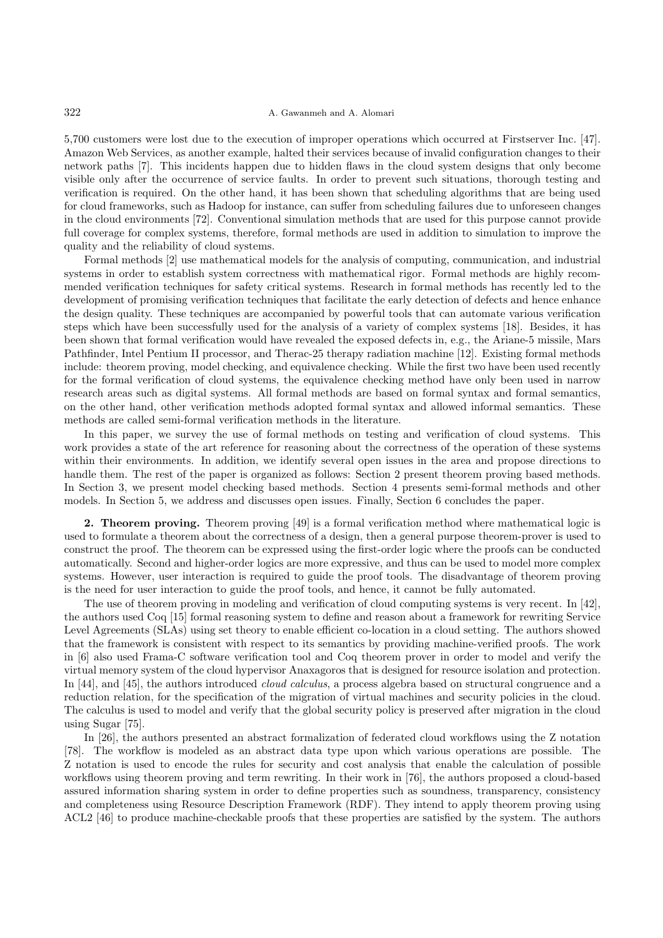## 322 A. Gawanmeh and A. Alomari

5,700 customers were lost due to the execution of improper operations which occurred at Firstserver Inc. [47]. Amazon Web Services, as another example, halted their services because of invalid configuration changes to their network paths [7]. This incidents happen due to hidden flaws in the cloud system designs that only become visible only after the occurrence of service faults. In order to prevent such situations, thorough testing and verification is required. On the other hand, it has been shown that scheduling algorithms that are being used for cloud frameworks, such as Hadoop for instance, can suffer from scheduling failures due to unforeseen changes in the cloud environments [72]. Conventional simulation methods that are used for this purpose cannot provide full coverage for complex systems, therefore, formal methods are used in addition to simulation to improve the quality and the reliability of cloud systems.

Formal methods [2] use mathematical models for the analysis of computing, communication, and industrial systems in order to establish system correctness with mathematical rigor. Formal methods are highly recommended verification techniques for safety critical systems. Research in formal methods has recently led to the development of promising verification techniques that facilitate the early detection of defects and hence enhance the design quality. These techniques are accompanied by powerful tools that can automate various verification steps which have been successfully used for the analysis of a variety of complex systems [18]. Besides, it has been shown that formal verification would have revealed the exposed defects in, e.g., the Ariane-5 missile, Mars Pathfinder, Intel Pentium II processor, and Therac-25 therapy radiation machine [12]. Existing formal methods include: theorem proving, model checking, and equivalence checking. While the first two have been used recently for the formal verification of cloud systems, the equivalence checking method have only been used in narrow research areas such as digital systems. All formal methods are based on formal syntax and formal semantics, on the other hand, other verification methods adopted formal syntax and allowed informal semantics. These methods are called semi-formal verification methods in the literature.

In this paper, we survey the use of formal methods on testing and verification of cloud systems. This work provides a state of the art reference for reasoning about the correctness of the operation of these systems within their environments. In addition, we identify several open issues in the area and propose directions to handle them. The rest of the paper is organized as follows: Section 2 present theorem proving based methods. In Section 3, we present model checking based methods. Section 4 presents semi-formal methods and other models. In Section 5, we address and discusses open issues. Finally, Section 6 concludes the paper.

2. Theorem proving. Theorem proving [49] is a formal verification method where mathematical logic is used to formulate a theorem about the correctness of a design, then a general purpose theorem-prover is used to construct the proof. The theorem can be expressed using the first-order logic where the proofs can be conducted automatically. Second and higher-order logics are more expressive, and thus can be used to model more complex systems. However, user interaction is required to guide the proof tools. The disadvantage of theorem proving is the need for user interaction to guide the proof tools, and hence, it cannot be fully automated.

The use of theorem proving in modeling and verification of cloud computing systems is very recent. In [42], the authors used Coq [15] formal reasoning system to define and reason about a framework for rewriting Service Level Agreements (SLAs) using set theory to enable efficient co-location in a cloud setting. The authors showed that the framework is consistent with respect to its semantics by providing machine-verified proofs. The work in [6] also used Frama-C software verification tool and Coq theorem prover in order to model and verify the virtual memory system of the cloud hypervisor Anaxagoros that is designed for resource isolation and protection. In [44], and [45], the authors introduced *cloud calculus*, a process algebra based on structural congruence and a reduction relation, for the specification of the migration of virtual machines and security policies in the cloud. The calculus is used to model and verify that the global security policy is preserved after migration in the cloud using Sugar [75].

In [26], the authors presented an abstract formalization of federated cloud workflows using the Z notation [78]. The workflow is modeled as an abstract data type upon which various operations are possible. The Z notation is used to encode the rules for security and cost analysis that enable the calculation of possible workflows using theorem proving and term rewriting. In their work in [76], the authors proposed a cloud-based assured information sharing system in order to define properties such as soundness, transparency, consistency and completeness using Resource Description Framework (RDF). They intend to apply theorem proving using ACL2 [46] to produce machine-checkable proofs that these properties are satisfied by the system. The authors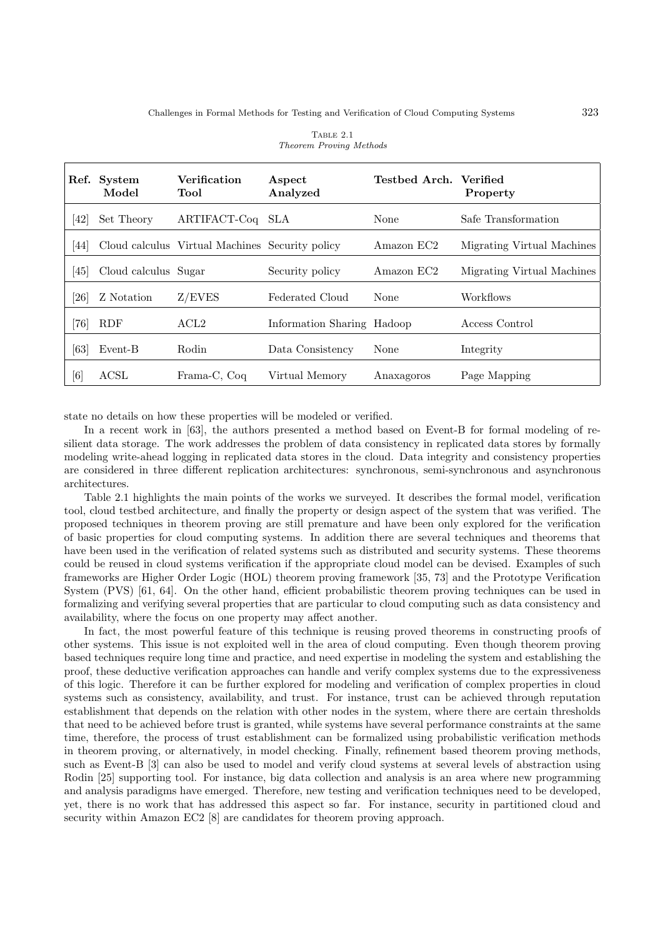| Ref.                                                                                                                                                                                                                                                                                                                    | System<br>Model      | <b>Verification</b><br>Tool                     | Aspect<br>Analyzed         | Testbed Arch. Verified | Property                   |
|-------------------------------------------------------------------------------------------------------------------------------------------------------------------------------------------------------------------------------------------------------------------------------------------------------------------------|----------------------|-------------------------------------------------|----------------------------|------------------------|----------------------------|
| 42                                                                                                                                                                                                                                                                                                                      | Set Theory           | ARTIFACT-Coq                                    | SLA                        | None                   | Safe Transformation        |
| 44                                                                                                                                                                                                                                                                                                                      |                      | Cloud calculus Virtual Machines Security policy |                            | Amazon EC2             | Migrating Virtual Machines |
| 45                                                                                                                                                                                                                                                                                                                      | Cloud calculus Sugar |                                                 | Security policy            | Amazon EC2             | Migrating Virtual Machines |
| $\left[ 26\right]$                                                                                                                                                                                                                                                                                                      | Z Notation           | Z/EVES                                          | Federated Cloud            | None                   | Workflows                  |
| 761                                                                                                                                                                                                                                                                                                                     | <b>RDF</b>           | ACL <sub>2</sub>                                | Information Sharing Hadoop |                        | Access Control             |
| [63]                                                                                                                                                                                                                                                                                                                    | Event-B              | Rodin                                           | Data Consistency           | None                   | Integrity                  |
| $[6] % \includegraphics[width=0.9\columnwidth]{figures/fig_0.pdf} \caption{A small number of samples of the estimators in the left panel. The blue line shows the number of samples of the two different times, and the blue line shows the number of samples of the two different times, respectively.} \label{fig:2}$ | ACSL                 | Frama-C, Coq                                    | Virtual Memory             | Anaxagoros             | Page Mapping               |

|                         | TABLE 2.1 |  |
|-------------------------|-----------|--|
| Theorem Proving Methods |           |  |

state no details on how these properties will be modeled or verified.

In a recent work in [63], the authors presented a method based on Event-B for formal modeling of resilient data storage. The work addresses the problem of data consistency in replicated data stores by formally modeling write-ahead logging in replicated data stores in the cloud. Data integrity and consistency properties are considered in three different replication architectures: synchronous, semi-synchronous and asynchronous architectures.

Table 2.1 highlights the main points of the works we surveyed. It describes the formal model, verification tool, cloud testbed architecture, and finally the property or design aspect of the system that was verified. The proposed techniques in theorem proving are still premature and have been only explored for the verification of basic properties for cloud computing systems. In addition there are several techniques and theorems that have been used in the verification of related systems such as distributed and security systems. These theorems could be reused in cloud systems verification if the appropriate cloud model can be devised. Examples of such frameworks are Higher Order Logic (HOL) theorem proving framework [35, 73] and the Prototype Verification System (PVS) [61, 64]. On the other hand, efficient probabilistic theorem proving techniques can be used in formalizing and verifying several properties that are particular to cloud computing such as data consistency and availability, where the focus on one property may affect another.

In fact, the most powerful feature of this technique is reusing proved theorems in constructing proofs of other systems. This issue is not exploited well in the area of cloud computing. Even though theorem proving based techniques require long time and practice, and need expertise in modeling the system and establishing the proof, these deductive verification approaches can handle and verify complex systems due to the expressiveness of this logic. Therefore it can be further explored for modeling and verification of complex properties in cloud systems such as consistency, availability, and trust. For instance, trust can be achieved through reputation establishment that depends on the relation with other nodes in the system, where there are certain thresholds that need to be achieved before trust is granted, while systems have several performance constraints at the same time, therefore, the process of trust establishment can be formalized using probabilistic verification methods in theorem proving, or alternatively, in model checking. Finally, refinement based theorem proving methods, such as Event-B [3] can also be used to model and verify cloud systems at several levels of abstraction using Rodin [25] supporting tool. For instance, big data collection and analysis is an area where new programming and analysis paradigms have emerged. Therefore, new testing and verification techniques need to be developed, yet, there is no work that has addressed this aspect so far. For instance, security in partitioned cloud and security within Amazon EC2 [8] are candidates for theorem proving approach.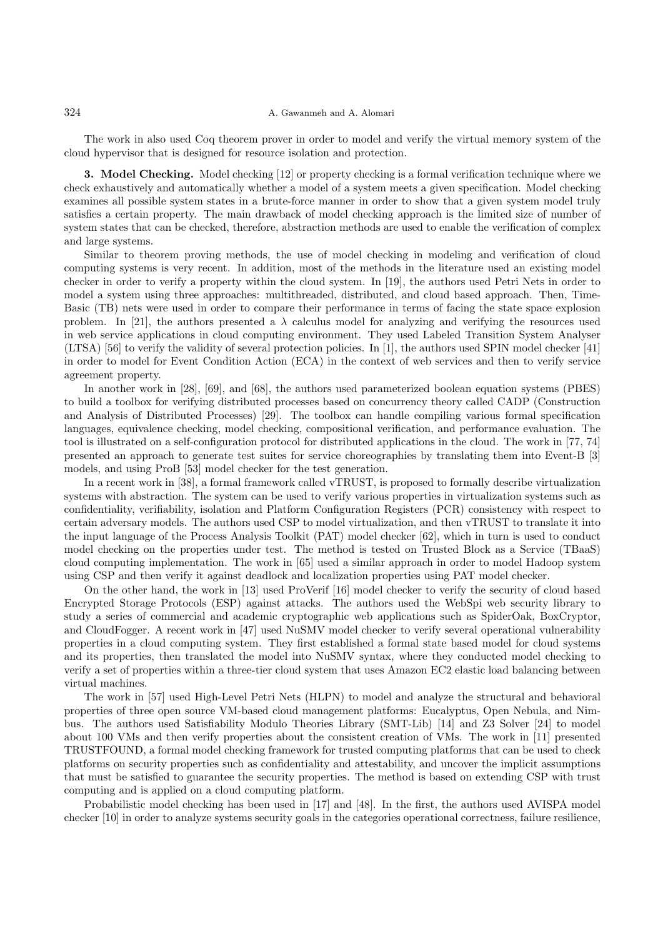The work in also used Coq theorem prover in order to model and verify the virtual memory system of the cloud hypervisor that is designed for resource isolation and protection.

3. Model Checking. Model checking [12] or property checking is a formal verification technique where we check exhaustively and automatically whether a model of a system meets a given specification. Model checking examines all possible system states in a brute-force manner in order to show that a given system model truly satisfies a certain property. The main drawback of model checking approach is the limited size of number of system states that can be checked, therefore, abstraction methods are used to enable the verification of complex and large systems.

Similar to theorem proving methods, the use of model checking in modeling and verification of cloud computing systems is very recent. In addition, most of the methods in the literature used an existing model checker in order to verify a property within the cloud system. In [19], the authors used Petri Nets in order to model a system using three approaches: multithreaded, distributed, and cloud based approach. Then, Time-Basic (TB) nets were used in order to compare their performance in terms of facing the state space explosion problem. In [21], the authors presented a  $\lambda$  calculus model for analyzing and verifying the resources used in web service applications in cloud computing environment. They used Labeled Transition System Analyser (LTSA) [56] to verify the validity of several protection policies. In [1], the authors used SPIN model checker [41] in order to model for Event Condition Action (ECA) in the context of web services and then to verify service agreement property.

In another work in [28], [69], and [68], the authors used parameterized boolean equation systems (PBES) to build a toolbox for verifying distributed processes based on concurrency theory called CADP (Construction and Analysis of Distributed Processes) [29]. The toolbox can handle compiling various formal specification languages, equivalence checking, model checking, compositional verification, and performance evaluation. The tool is illustrated on a self-configuration protocol for distributed applications in the cloud. The work in [77, 74] presented an approach to generate test suites for service choreographies by translating them into Event-B [3] models, and using ProB [53] model checker for the test generation.

In a recent work in [38], a formal framework called vTRUST, is proposed to formally describe virtualization systems with abstraction. The system can be used to verify various properties in virtualization systems such as confidentiality, verifiability, isolation and Platform Configuration Registers (PCR) consistency with respect to certain adversary models. The authors used CSP to model virtualization, and then vTRUST to translate it into the input language of the Process Analysis Toolkit (PAT) model checker [62], which in turn is used to conduct model checking on the properties under test. The method is tested on Trusted Block as a Service (TBaaS) cloud computing implementation. The work in [65] used a similar approach in order to model Hadoop system using CSP and then verify it against deadlock and localization properties using PAT model checker.

On the other hand, the work in [13] used ProVerif [16] model checker to verify the security of cloud based Encrypted Storage Protocols (ESP) against attacks. The authors used the WebSpi web security library to study a series of commercial and academic cryptographic web applications such as SpiderOak, BoxCryptor, and CloudFogger. A recent work in [47] used NuSMV model checker to verify several operational vulnerability properties in a cloud computing system. They first established a formal state based model for cloud systems and its properties, then translated the model into NuSMV syntax, where they conducted model checking to verify a set of properties within a three-tier cloud system that uses Amazon EC2 elastic load balancing between virtual machines.

The work in [57] used High-Level Petri Nets (HLPN) to model and analyze the structural and behavioral properties of three open source VM-based cloud management platforms: Eucalyptus, Open Nebula, and Nimbus. The authors used Satisfiability Modulo Theories Library (SMT-Lib) [14] and Z3 Solver [24] to model about 100 VMs and then verify properties about the consistent creation of VMs. The work in [11] presented TRUSTFOUND, a formal model checking framework for trusted computing platforms that can be used to check platforms on security properties such as confidentiality and attestability, and uncover the implicit assumptions that must be satisfied to guarantee the security properties. The method is based on extending CSP with trust computing and is applied on a cloud computing platform.

Probabilistic model checking has been used in [17] and [48]. In the first, the authors used AVISPA model checker [10] in order to analyze systems security goals in the categories operational correctness, failure resilience,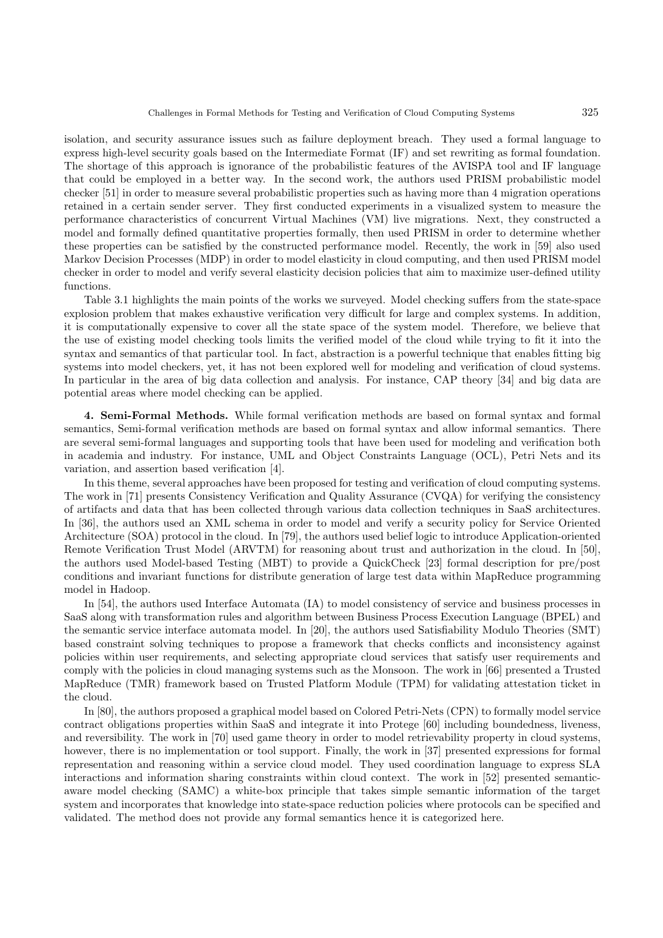isolation, and security assurance issues such as failure deployment breach. They used a formal language to express high-level security goals based on the Intermediate Format (IF) and set rewriting as formal foundation. The shortage of this approach is ignorance of the probabilistic features of the AVISPA tool and IF language that could be employed in a better way. In the second work, the authors used PRISM probabilistic model checker [51] in order to measure several probabilistic properties such as having more than 4 migration operations retained in a certain sender server. They first conducted experiments in a visualized system to measure the performance characteristics of concurrent Virtual Machines (VM) live migrations. Next, they constructed a model and formally defined quantitative properties formally, then used PRISM in order to determine whether these properties can be satisfied by the constructed performance model. Recently, the work in [59] also used Markov Decision Processes (MDP) in order to model elasticity in cloud computing, and then used PRISM model checker in order to model and verify several elasticity decision policies that aim to maximize user-defined utility functions.

Table 3.1 highlights the main points of the works we surveyed. Model checking suffers from the state-space explosion problem that makes exhaustive verification very difficult for large and complex systems. In addition, it is computationally expensive to cover all the state space of the system model. Therefore, we believe that the use of existing model checking tools limits the verified model of the cloud while trying to fit it into the syntax and semantics of that particular tool. In fact, abstraction is a powerful technique that enables fitting big systems into model checkers, yet, it has not been explored well for modeling and verification of cloud systems. In particular in the area of big data collection and analysis. For instance, CAP theory [34] and big data are potential areas where model checking can be applied.

4. Semi-Formal Methods. While formal verification methods are based on formal syntax and formal semantics, Semi-formal verification methods are based on formal syntax and allow informal semantics. There are several semi-formal languages and supporting tools that have been used for modeling and verification both in academia and industry. For instance, UML and Object Constraints Language (OCL), Petri Nets and its variation, and assertion based verification [4].

In this theme, several approaches have been proposed for testing and verification of cloud computing systems. The work in [71] presents Consistency Verification and Quality Assurance (CVQA) for verifying the consistency of artifacts and data that has been collected through various data collection techniques in SaaS architectures. In [36], the authors used an XML schema in order to model and verify a security policy for Service Oriented Architecture (SOA) protocol in the cloud. In [79], the authors used belief logic to introduce Application-oriented Remote Verification Trust Model (ARVTM) for reasoning about trust and authorization in the cloud. In [50], the authors used Model-based Testing (MBT) to provide a QuickCheck [23] formal description for pre/post conditions and invariant functions for distribute generation of large test data within MapReduce programming model in Hadoop.

In [54], the authors used Interface Automata (IA) to model consistency of service and business processes in SaaS along with transformation rules and algorithm between Business Process Execution Language (BPEL) and the semantic service interface automata model. In [20], the authors used Satisfiability Modulo Theories (SMT) based constraint solving techniques to propose a framework that checks conflicts and inconsistency against policies within user requirements, and selecting appropriate cloud services that satisfy user requirements and comply with the policies in cloud managing systems such as the Monsoon. The work in [66] presented a Trusted MapReduce (TMR) framework based on Trusted Platform Module (TPM) for validating attestation ticket in the cloud.

In [80], the authors proposed a graphical model based on Colored Petri-Nets (CPN) to formally model service contract obligations properties within SaaS and integrate it into Protege [60] including boundedness, liveness, and reversibility. The work in [70] used game theory in order to model retrievability property in cloud systems, however, there is no implementation or tool support. Finally, the work in [37] presented expressions for formal representation and reasoning within a service cloud model. They used coordination language to express SLA interactions and information sharing constraints within cloud context. The work in [52] presented semanticaware model checking (SAMC) a white-box principle that takes simple semantic information of the target system and incorporates that knowledge into state-space reduction policies where protocols can be specified and validated. The method does not provide any formal semantics hence it is categorized here.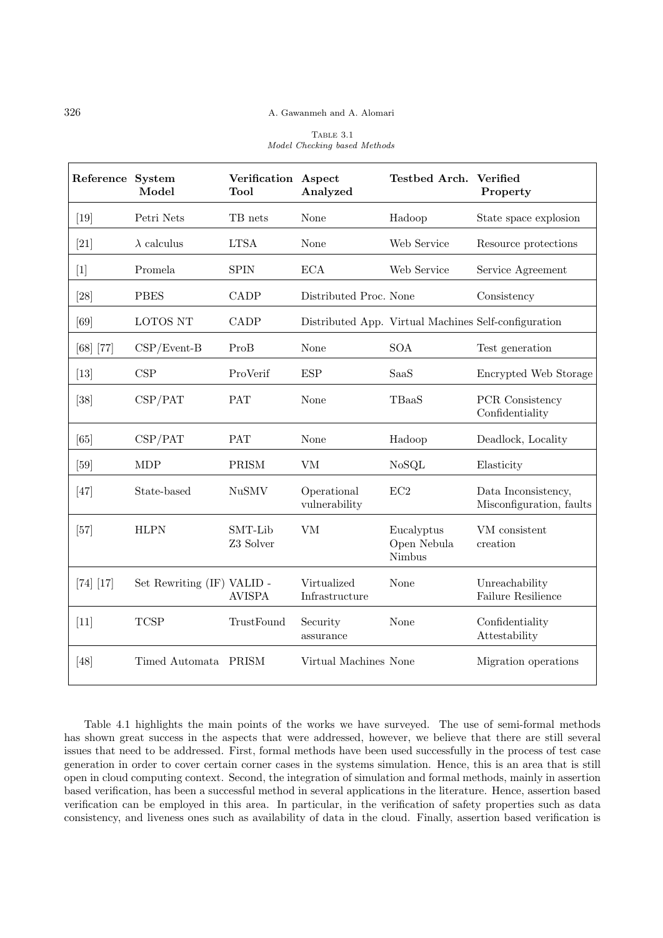| TABLE 3.1                    |  |
|------------------------------|--|
| Model Checking based Methods |  |

| Reference System | Model                      | Verification Aspect<br>Tool | Analyzed                      | Testbed Arch. Verified              | Property                                             |
|------------------|----------------------------|-----------------------------|-------------------------------|-------------------------------------|------------------------------------------------------|
| $[19]$           | Petri Nets                 | TB nets                     | None                          | Hadoop                              | State space explosion                                |
| [21]             | $\lambda$ calculus         | <b>LTSA</b>                 | None                          | Web Service                         | Resource protections                                 |
| $[1]$            | Promela                    | <b>SPIN</b>                 | <b>ECA</b>                    | Web Service                         | Service Agreement                                    |
| [28]             | <b>PBES</b>                | CADP                        | Distributed Proc. None        |                                     | Consistency                                          |
| [69]             | LOTOS NT                   | CADP                        |                               |                                     | Distributed App. Virtual Machines Self-configuration |
| $[68]$ [77]      | $CSP/Event-B$              | ProB                        | None                          | <b>SOA</b>                          | Test generation                                      |
| $[13]$           | CSP                        | ProVerif                    | ESP                           | SaaS                                | Encrypted Web Storage                                |
| [38]             | CSP/PATH                   | <b>PAT</b>                  | None                          | TBaaS                               | PCR Consistency<br>Confidentiality                   |
| [65]             | CSP/PATH                   | PAT                         | None                          | Hadoop                              | Deadlock, Locality                                   |
| [59]             | <b>MDP</b>                 | PRISM                       | <b>VM</b>                     | NoSQL                               | Elasticity                                           |
| [47]             | State-based                | <b>NuSMV</b>                | Operational<br>vulnerability  | EC2                                 | Data Inconsistency,<br>Misconfiguration, faults      |
| $[57]$           | <b>HLPN</b>                | SMT-Lib<br>Z3 Solver        | <b>VM</b>                     | Eucalyptus<br>Open Nebula<br>Nimbus | VM consistent<br>creation                            |
| $[74]$ $[17]$    | Set Rewriting (IF) VALID - | <b>AVISPA</b>               | Virtualized<br>Infrastructure | None                                | Unreachability<br>Failure Resilience                 |
| $[11]$           | <b>TCSP</b>                | TrustFound                  | Security<br>assurance         | None                                | Confidentiality<br>Attestability                     |
| [48]             | Timed Automata PRISM       |                             | Virtual Machines None         |                                     | Migration operations                                 |

Table 4.1 highlights the main points of the works we have surveyed. The use of semi-formal methods has shown great success in the aspects that were addressed, however, we believe that there are still several issues that need to be addressed. First, formal methods have been used successfully in the process of test case generation in order to cover certain corner cases in the systems simulation. Hence, this is an area that is still open in cloud computing context. Second, the integration of simulation and formal methods, mainly in assertion based verification, has been a successful method in several applications in the literature. Hence, assertion based verification can be employed in this area. In particular, in the verification of safety properties such as data consistency, and liveness ones such as availability of data in the cloud. Finally, assertion based verification is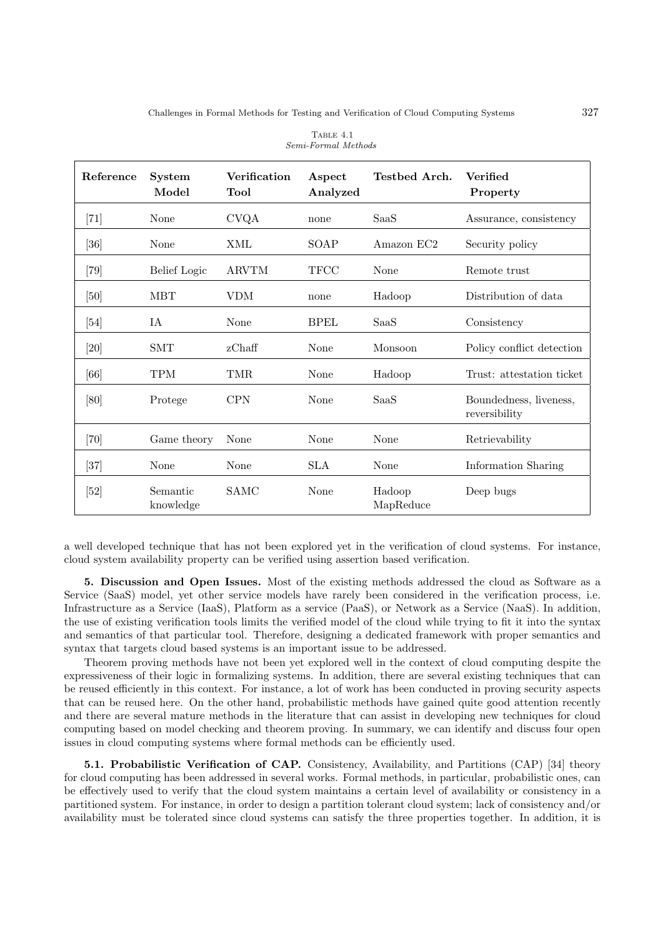| Reference          | <b>System</b><br>Model | Verification<br>Tool | Aspect<br>Analyzed | Testbed Arch.       | <b>Verified</b><br>Property             |
|--------------------|------------------------|----------------------|--------------------|---------------------|-----------------------------------------|
| [71]               | None                   | <b>CVQA</b>          | none               | SaaS                | Assurance, consistency                  |
| $\left[ 36\right]$ | None                   | XML                  | SOAP               | Amazon EC2          | Security policy                         |
| $\left[79\right]$  | <b>Belief</b> Logic    | <b>ARVTM</b>         | <b>TFCC</b>        | None                | Remote trust                            |
| [50]               | <b>MBT</b>             | VDM                  | none               | Hadoop              | Distribution of data                    |
| [54]               | IA                     | None                 | <b>BPEL</b>        | SaaS                | Consistency                             |
| [20]               | SMT                    | zChaff               | None               | Monsoon             | Policy conflict detection               |
| [66]               | <b>TPM</b>             | TMR                  | None               | Hadoop              | Trust: attestation ticket               |
| [80]               | Protege                | <b>CPN</b>           | None               | SaaS                | Boundedness, liveness,<br>reversibility |
| $\left[70\right]$  | Game theory            | None                 | None               | None                | Retrievability                          |
| [37]               | None                   | None                 | <b>SLA</b>         | None                | Information Sharing                     |
| $[52]$             | Semantic<br>knowledge  | SAMC                 | None               | Hadoop<br>MapReduce | Deep bugs                               |

| TABLE 4.1           |
|---------------------|
| Semi-Formal Methods |

a well developed technique that has not been explored yet in the verification of cloud systems. For instance, cloud system availability property can be verified using assertion based verification.

5. Discussion and Open Issues. Most of the existing methods addressed the cloud as Software as a Service (SaaS) model, yet other service models have rarely been considered in the verification process, i.e. Infrastructure as a Service (IaaS), Platform as a service (PaaS), or Network as a Service (NaaS). In addition, the use of existing verification tools limits the verified model of the cloud while trying to fit it into the syntax and semantics of that particular tool. Therefore, designing a dedicated framework with proper semantics and syntax that targets cloud based systems is an important issue to be addressed.

Theorem proving methods have not been yet explored well in the context of cloud computing despite the expressiveness of their logic in formalizing systems. In addition, there are several existing techniques that can be reused efficiently in this context. For instance, a lot of work has been conducted in proving security aspects that can be reused here. On the other hand, probabilistic methods have gained quite good attention recently and there are several mature methods in the literature that can assist in developing new techniques for cloud computing based on model checking and theorem proving. In summary, we can identify and discuss four open issues in cloud computing systems where formal methods can be efficiently used.

5.1. Probabilistic Verification of CAP. Consistency, Availability, and Partitions (CAP) [34] theory for cloud computing has been addressed in several works. Formal methods, in particular, probabilistic ones, can be effectively used to verify that the cloud system maintains a certain level of availability or consistency in a partitioned system. For instance, in order to design a partition tolerant cloud system; lack of consistency and/or availability must be tolerated since cloud systems can satisfy the three properties together. In addition, it is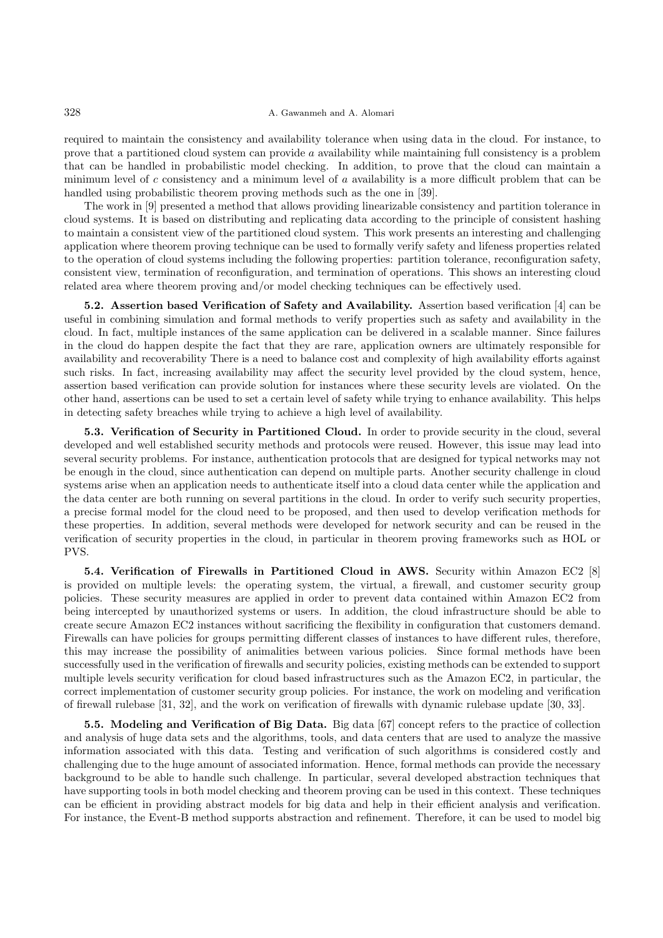## 328 A. Gawanmeh and A. Alomari

required to maintain the consistency and availability tolerance when using data in the cloud. For instance, to prove that a partitioned cloud system can provide  $a$  availability while maintaining full consistency is a problem that can be handled in probabilistic model checking. In addition, to prove that the cloud can maintain a minimum level of c consistency and a minimum level of  $a$  availability is a more difficult problem that can be handled using probabilistic theorem proving methods such as the one in [39].

The work in [9] presented a method that allows providing linearizable consistency and partition tolerance in cloud systems. It is based on distributing and replicating data according to the principle of consistent hashing to maintain a consistent view of the partitioned cloud system. This work presents an interesting and challenging application where theorem proving technique can be used to formally verify safety and lifeness properties related to the operation of cloud systems including the following properties: partition tolerance, reconfiguration safety, consistent view, termination of reconfiguration, and termination of operations. This shows an interesting cloud related area where theorem proving and/or model checking techniques can be effectively used.

5.2. Assertion based Verification of Safety and Availability. Assertion based verification [4] can be useful in combining simulation and formal methods to verify properties such as safety and availability in the cloud. In fact, multiple instances of the same application can be delivered in a scalable manner. Since failures in the cloud do happen despite the fact that they are rare, application owners are ultimately responsible for availability and recoverability There is a need to balance cost and complexity of high availability efforts against such risks. In fact, increasing availability may affect the security level provided by the cloud system, hence, assertion based verification can provide solution for instances where these security levels are violated. On the other hand, assertions can be used to set a certain level of safety while trying to enhance availability. This helps in detecting safety breaches while trying to achieve a high level of availability.

5.3. Verification of Security in Partitioned Cloud. In order to provide security in the cloud, several developed and well established security methods and protocols were reused. However, this issue may lead into several security problems. For instance, authentication protocols that are designed for typical networks may not be enough in the cloud, since authentication can depend on multiple parts. Another security challenge in cloud systems arise when an application needs to authenticate itself into a cloud data center while the application and the data center are both running on several partitions in the cloud. In order to verify such security properties, a precise formal model for the cloud need to be proposed, and then used to develop verification methods for these properties. In addition, several methods were developed for network security and can be reused in the verification of security properties in the cloud, in particular in theorem proving frameworks such as HOL or PVS.

5.4. Verification of Firewalls in Partitioned Cloud in AWS. Security within Amazon EC2 [8] is provided on multiple levels: the operating system, the virtual, a firewall, and customer security group policies. These security measures are applied in order to prevent data contained within Amazon EC2 from being intercepted by unauthorized systems or users. In addition, the cloud infrastructure should be able to create secure Amazon EC2 instances without sacrificing the flexibility in configuration that customers demand. Firewalls can have policies for groups permitting different classes of instances to have different rules, therefore, this may increase the possibility of animalities between various policies. Since formal methods have been successfully used in the verification of firewalls and security policies, existing methods can be extended to support multiple levels security verification for cloud based infrastructures such as the Amazon EC2, in particular, the correct implementation of customer security group policies. For instance, the work on modeling and verification of firewall rulebase [31, 32], and the work on verification of firewalls with dynamic rulebase update [30, 33].

5.5. Modeling and Verification of Big Data. Big data [67] concept refers to the practice of collection and analysis of huge data sets and the algorithms, tools, and data centers that are used to analyze the massive information associated with this data. Testing and verification of such algorithms is considered costly and challenging due to the huge amount of associated information. Hence, formal methods can provide the necessary background to be able to handle such challenge. In particular, several developed abstraction techniques that have supporting tools in both model checking and theorem proving can be used in this context. These techniques can be efficient in providing abstract models for big data and help in their efficient analysis and verification. For instance, the Event-B method supports abstraction and refinement. Therefore, it can be used to model big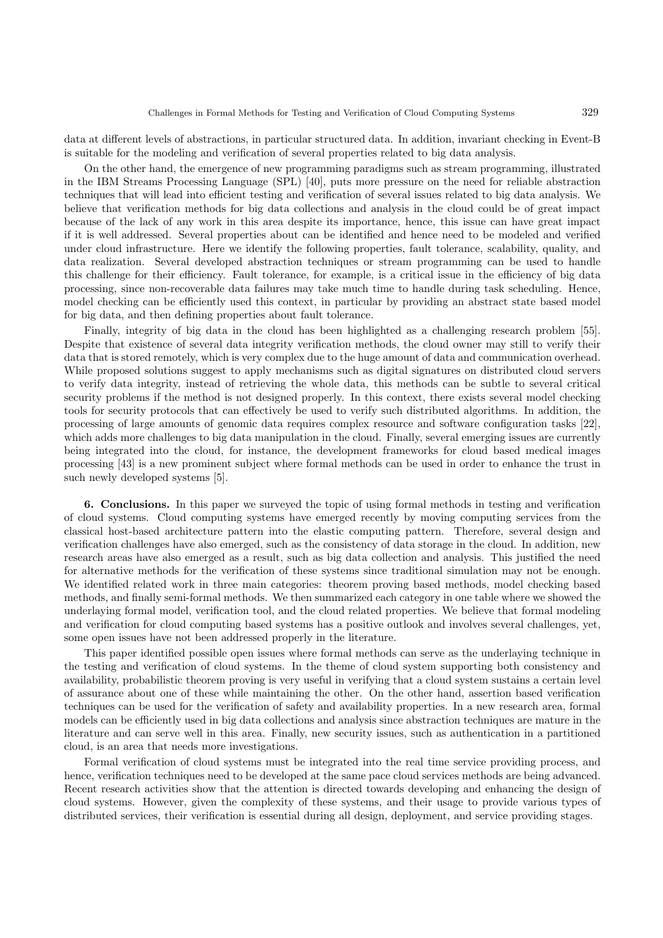data at different levels of abstractions, in particular structured data. In addition, invariant checking in Event-B is suitable for the modeling and verification of several properties related to big data analysis.

On the other hand, the emergence of new programming paradigms such as stream programming, illustrated in the IBM Streams Processing Language (SPL) [40], puts more pressure on the need for reliable abstraction techniques that will lead into efficient testing and verification of several issues related to big data analysis. We believe that verification methods for big data collections and analysis in the cloud could be of great impact because of the lack of any work in this area despite its importance, hence, this issue can have great impact if it is well addressed. Several properties about can be identified and hence need to be modeled and verified under cloud infrastructure. Here we identify the following properties, fault tolerance, scalability, quality, and data realization. Several developed abstraction techniques or stream programming can be used to handle this challenge for their efficiency. Fault tolerance, for example, is a critical issue in the efficiency of big data processing, since non-recoverable data failures may take much time to handle during task scheduling. Hence, model checking can be efficiently used this context, in particular by providing an abstract state based model for big data, and then defining properties about fault tolerance.

Finally, integrity of big data in the cloud has been highlighted as a challenging research problem [55]. Despite that existence of several data integrity verification methods, the cloud owner may still to verify their data that is stored remotely, which is very complex due to the huge amount of data and communication overhead. While proposed solutions suggest to apply mechanisms such as digital signatures on distributed cloud servers to verify data integrity, instead of retrieving the whole data, this methods can be subtle to several critical security problems if the method is not designed properly. In this context, there exists several model checking tools for security protocols that can effectively be used to verify such distributed algorithms. In addition, the processing of large amounts of genomic data requires complex resource and software configuration tasks [22], which adds more challenges to big data manipulation in the cloud. Finally, several emerging issues are currently being integrated into the cloud, for instance, the development frameworks for cloud based medical images processing [43] is a new prominent subject where formal methods can be used in order to enhance the trust in such newly developed systems [5].

6. Conclusions. In this paper we surveyed the topic of using formal methods in testing and verification of cloud systems. Cloud computing systems have emerged recently by moving computing services from the classical host-based architecture pattern into the elastic computing pattern. Therefore, several design and verification challenges have also emerged, such as the consistency of data storage in the cloud. In addition, new research areas have also emerged as a result, such as big data collection and analysis. This justified the need for alternative methods for the verification of these systems since traditional simulation may not be enough. We identified related work in three main categories: theorem proving based methods, model checking based methods, and finally semi-formal methods. We then summarized each category in one table where we showed the underlaying formal model, verification tool, and the cloud related properties. We believe that formal modeling and verification for cloud computing based systems has a positive outlook and involves several challenges, yet, some open issues have not been addressed properly in the literature.

This paper identified possible open issues where formal methods can serve as the underlaying technique in the testing and verification of cloud systems. In the theme of cloud system supporting both consistency and availability, probabilistic theorem proving is very useful in verifying that a cloud system sustains a certain level of assurance about one of these while maintaining the other. On the other hand, assertion based verification techniques can be used for the verification of safety and availability properties. In a new research area, formal models can be efficiently used in big data collections and analysis since abstraction techniques are mature in the literature and can serve well in this area. Finally, new security issues, such as authentication in a partitioned cloud, is an area that needs more investigations.

Formal verification of cloud systems must be integrated into the real time service providing process, and hence, verification techniques need to be developed at the same pace cloud services methods are being advanced. Recent research activities show that the attention is directed towards developing and enhancing the design of cloud systems. However, given the complexity of these systems, and their usage to provide various types of distributed services, their verification is essential during all design, deployment, and service providing stages.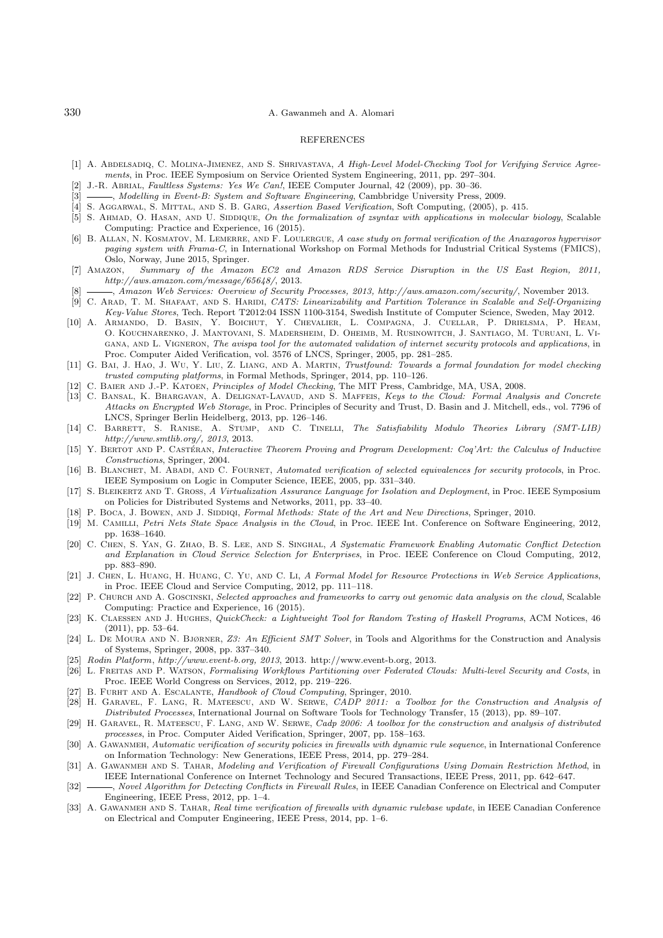## **REFERENCES**

- [1] A. ABDELSADIQ, C. MOLINA-JIMENEZ, AND S. SHRIVASTAVA, A High-Level Model-Checking Tool for Verifying Service Agreements, in Proc. IEEE Symposium on Service Oriented System Engineering, 2011, pp. 297–304.
- [2] J.-R. Abrial, Faultless Systems: Yes We Can!, IEEE Computer Journal, 42 (2009), pp. 30–36.
- [3]  $\_\_\_\_\$  Modelling in Event-B: System and Software Engineering, Cambbridge University Press, 2009.
- [4] S. Aggarwal, S. Mittal, and S. B. Garg, Assertion Based Verification, Soft Computing, (2005), p. 415.
- [5] S. AHMAD, O. HASAN, AND U. SIDDIQUE, On the formalization of zsyntax with applications in molecular biology, Scalable Computing: Practice and Experience, 16 (2015).
- [6] B. ALLAN, N. KOSMATOV, M. LEMERRE, AND F. LOULERGUE, A case study on formal verification of the Anaxagoros hypervisor paging system with Frama-C, in International Workshop on Formal Methods for Industrial Critical Systems (FMICS), Oslo, Norway, June 2015, Springer.
- [7] Amazon, Summary of the Amazon EC2 and Amazon RDS Service Disruption in the US East Region, 2011, http://aws.amazon.com/message/65648/, 2013.
- [8] , Amazon Web Services: Overview of Security Processes, 2013, http://aws.amazon.com/security/, November 2013. [9] C. ARAD, T. M. SHAFAAT, AND S. HARIDI, CATS: Linearizability and Partition Tolerance in Scalable and Self-Organizing
- Key-Value Stores, Tech. Report T2012:04 ISSN 1100-3154, Swedish Institute of Computer Science, Sweden, May 2012.
- [10] A. Armando, D. Basin, Y. Boichut, Y. Chevalier, L. Compagna, J. Cuellar, P. Drielsma, P. Heam, O. Kouchnarenko, J. Mantovani, S. Madersheim, D. Oheimb, M. Rusinowitch, J. Santiago, M. Turuani, L. Vigana, and L. Vigneron, The avispa tool for the automated validation of internet security protocols and applications, in Proc. Computer Aided Verification, vol. 3576 of LNCS, Springer, 2005, pp. 281–285.
- [11] G. BAI, J. HAO, J. WU, Y. LIU, Z. LIANG, AND A. MARTIN, Trustfound: Towards a formal foundation for model checking trusted computing platforms, in Formal Methods, Springer, 2014, pp. 110–126.
- [12] C. Baier and J.-P. Katoen, Principles of Model Checking, The MIT Press, Cambridge, MA, USA, 2008.
- [13] C. Bansal, K. Bhargavan, A. Delignat-Lavaud, and S. Maffeis, Keys to the Cloud: Formal Analysis and Concrete Attacks on Encrypted Web Storage, in Proc. Principles of Security and Trust, D. Basin and J. Mitchell, eds., vol. 7796 of LNCS, Springer Berlin Heidelberg, 2013, pp. 126–146.
- [14] C. BARRETT, S. RANISE, A. STUMP, AND C. TINELLI, The Satisfiability Modulo Theories Library (SMT-LIB) http://www.smtlib.org/, 2013, 2013.
- [15] Y. BERTOT AND P. CASTÉRAN, Interactive Theorem Proving and Program Development: Coq'Art: the Calculus of Inductive Constructions, Springer, 2004.
- [16] B. BLANCHET, M. ABADI, AND C. FOURNET, Automated verification of selected equivalences for security protocols, in Proc. IEEE Symposium on Logic in Computer Science, IEEE, 2005, pp. 331–340.
- [17] S. BLEIKERTZ AND T. GROSS, A Virtualization Assurance Language for Isolation and Deployment, in Proc. IEEE Symposium on Policies for Distributed Systems and Networks, 2011, pp. 33–40.
- [18] P. Boca, J. Bowen, and J. Siddiqi, Formal Methods: State of the Art and New Directions, Springer, 2010.
- [19] M. Camilli, Petri Nets State Space Analysis in the Cloud, in Proc. IEEE Int. Conference on Software Engineering, 2012, pp. 1638–1640.
- [20] C. Chen, S. Yan, G. Zhao, B. S. Lee, and S. Singhal, A Systematic Framework Enabling Automatic Conflict Detection and Explanation in Cloud Service Selection for Enterprises, in Proc. IEEE Conference on Cloud Computing, 2012, pp. 883–890.
- [21] J. CHEN, L. HUANG, H. HUANG, C. YU, AND C. LI, A Formal Model for Resource Protections in Web Service Applications, in Proc. IEEE Cloud and Service Computing, 2012, pp. 111–118.
- [22] P. CHURCH AND A. GOSCINSKI, Selected approaches and frameworks to carry out genomic data analysis on the cloud, Scalable Computing: Practice and Experience, 16 (2015).
- [23] K. CLAESSEN AND J. HUGHES, QuickCheck: a Lightweight Tool for Random Testing of Haskell Programs, ACM Notices, 46 (2011), pp. 53–64.
- [24] L. DE MOURA AND N. BJØRNER, Z3: An Efficient SMT Solver, in Tools and Algorithms for the Construction and Analysis of Systems, Springer, 2008, pp. 337–340.
- [25] Rodin Platform, http://www.event-b.org, 2013, 2013. http://www.event-b.org, 2013.
- [26] L. FREITAS AND P. WATSON, Formalising Workflows Partitioning over Federated Clouds: Multi-level Security and Costs, in Proc. IEEE World Congress on Services, 2012, pp. 219–226.
- [27] B. FURHT AND A. ESCALANTE, Handbook of Cloud Computing, Springer, 2010.
- [28] H. Garavel, F. Lang, R. Mateescu, and W. Serwe, CADP 2011: a Toolbox for the Construction and Analysis of Distributed Processes, International Journal on Software Tools for Technology Transfer, 15 (2013), pp. 89–107.
- [29] H. GARAVEL, R. MATEESCU, F. LANG, AND W. SERWE, Cadp 2006: A toolbox for the construction and analysis of distributed processes, in Proc. Computer Aided Verification, Springer, 2007, pp. 158–163.
- [30] A. GAWANMEH, Automatic verification of security policies in firewalls with dynamic rule sequence, in International Conference on Information Technology: New Generations, IEEE Press, 2014, pp. 279–284.
- [31] A. GAWANMEH AND S. TAHAR, Modeling and Verification of Firewall Configurations Using Domain Restriction Method, in IEEE International Conference on Internet Technology and Secured Transactions, IEEE Press, 2011, pp. 642–647.
- [32] \_\_\_, Novel Algorithm for Detecting Conflicts in Firewall Rules, in IEEE Canadian Conference on Electrical and Computer Engineering, IEEE Press, 2012, pp. 1–4.
- [33] A. GAWANMEH AND S. TAHAR, Real time verification of firewalls with dynamic rulebase update, in IEEE Canadian Conference on Electrical and Computer Engineering, IEEE Press, 2014, pp. 1–6.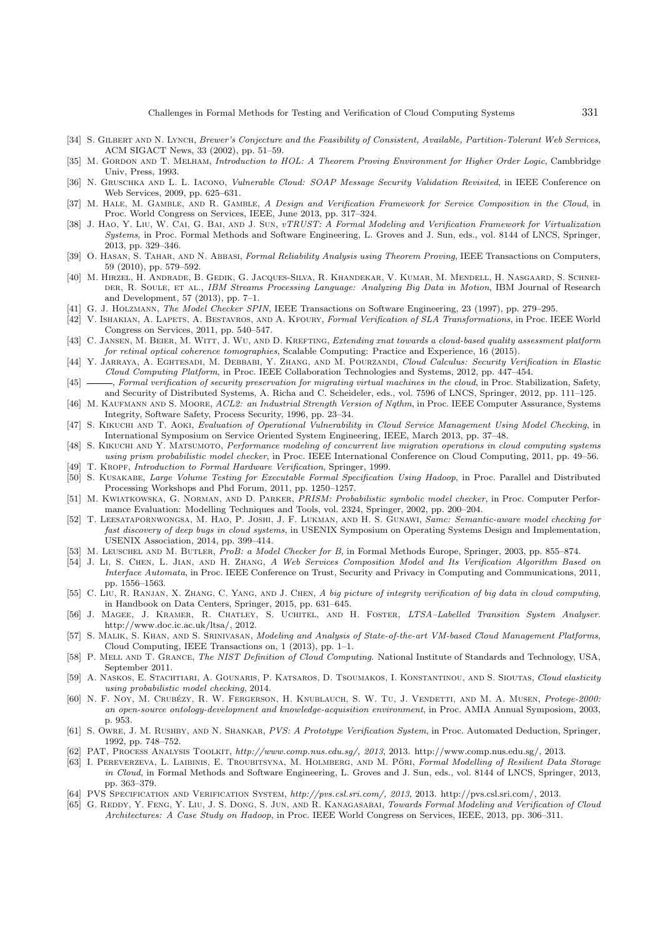- [34] S. GILBERT AND N. LYNCH, Brewer's Conjecture and the Feasibility of Consistent, Available, Partition-Tolerant Web Services, ACM SIGACT News, 33 (2002), pp. 51–59.
- [35] M. GORDON AND T. MELHAM, Introduction to HOL: A Theorem Proving Environment for Higher Order Logic, Cambbridge Univ, Press, 1993.
- [36] N. GRUSCHKA AND L. L. IACONO, Vulnerable Cloud: SOAP Message Security Validation Revisited, in IEEE Conference on Web Services, 2009, pp. 625–631.
- [37] M. HALE, M. GAMBLE, AND R. GAMBLE, A Design and Verification Framework for Service Composition in the Cloud, in Proc. World Congress on Services, IEEE, June 2013, pp. 317–324.
- [38] J. HAO, Y. LIU, W. CAI, G. BAI, AND J. SUN, vTRUST: A Formal Modeling and Verification Framework for Virtualization Systems, in Proc. Formal Methods and Software Engineering, L. Groves and J. Sun, eds., vol. 8144 of LNCS, Springer, 2013, pp. 329–346.
- [39] O. HASAN, S. TAHAR, AND N. ABBASI, Formal Reliability Analysis using Theorem Proving, IEEE Transactions on Computers, 59 (2010), pp. 579–592.
- [40] M. Hirzel, H. Andrade, B. Gedik, G. Jacques-Silva, R. Khandekar, V. Kumar, M. Mendell, H. Nasgaard, S. Schnei-DER, R. SOULE, ET AL., IBM Streams Processing Language: Analyzing Big Data in Motion, IBM Journal of Research and Development, 57 (2013), pp. 7–1.
- [41] G. J. Holzmann, The Model Checker SPIN, IEEE Transactions on Software Engineering, 23 (1997), pp. 279–295.
- [42] V. ISHAKIAN, A. LAPETS, A. BESTAVROS, AND A. KFOURY, Formal Verification of SLA Transformations, in Proc. IEEE World Congress on Services, 2011, pp. 540–547.
- [43] C. JANSEN, M. BEIER, M. WITT, J. WU, AND D. KREFTING, Extending xnat towards a cloud-based quality assessment platform for retinal optical coherence tomographies, Scalable Computing: Practice and Experience, 16 (2015).
- [44] Y. JARRAYA, A. EGHTESADI, M. DEBBABI, Y. ZHANG, AND M. POURZANDI, Cloud Calculus: Security Verification in Elastic Cloud Computing Platform, in Proc. IEEE Collaboration Technologies and Systems, 2012, pp. 447–454.
- [45] Formal verification of security preservation for migrating virtual machines in the cloud, in Proc. Stabilization, Safety, and Security of Distributed Systems, A. Richa and C. Scheideler, eds., vol. 7596 of LNCS, Springer, 2012, pp. 111–125.
- [46] M. KAUFMANN AND S. MOORE, ACL2: an Industrial Strength Version of Nqthm, in Proc. IEEE Computer Assurance, Systems Integrity, Software Safety, Process Security, 1996, pp. 23–34.
- [47] S. Kikuchi and T. Aoki, Evaluation of Operational Vulnerability in Cloud Service Management Using Model Checking, in International Symposium on Service Oriented System Engineering, IEEE, March 2013, pp. 37–48.
- [48] S. KIKUCHI AND Y. MATSUMOTO, Performance modeling of concurrent live migration operations in cloud computing systems using prism probabilistic model checker, in Proc. IEEE International Conference on Cloud Computing, 2011, pp. 49–56.
- [49] T. KROPF, Introduction to Formal Hardware Verification, Springer, 1999. [50] S. KUSAKABE, Large Volume Testing for Executable Formal Specification Using Hadoop, in Proc. Parallel and Distributed
- Processing Workshops and Phd Forum, 2011, pp. 1250–1257. [51] M. KWIATKOWSKA, G. NORMAN, AND D. PARKER, PRISM: Probabilistic symbolic model checker, in Proc. Computer Performance Evaluation: Modelling Techniques and Tools, vol. 2324, Springer, 2002, pp. 200–204.
- [52] T. Leesatapornwongsa, M. Hao, P. Joshi, J. F. Lukman, and H. S. Gunawi, Samc: Semantic-aware model checking for fast discovery of deep bugs in cloud systems, in USENIX Symposium on Operating Systems Design and Implementation, USENIX Association, 2014, pp. 399–414.
- [53] M. Leuschel and M. Butler, ProB: a Model Checker for B, in Formal Methods Europe, Springer, 2003, pp. 855–874.
- [54] J. Li, S. Chen, L. Jian, and H. Zhang, A Web Services Composition Model and Its Verification Algorithm Based on Interface Automata, in Proc. IEEE Conference on Trust, Security and Privacy in Computing and Communications, 2011, pp. 1556–1563.
- [55] C. Liu, R. RANJAN, X. ZHANG, C. YANG, AND J. CHEN, A big picture of integrity verification of big data in cloud computing, in Handbook on Data Centers, Springer, 2015, pp. 631–645.
- [56] J. Magee, J. Kramer, R. Chatley, S. Uchitel, and H. Foster, LTSA–Labelled Transition System Analyser. http://www.doc.ic.ac.uk/ltsa/, 2012.
- [57] S. MALIK, S. KHAN, AND S. SRINIVASAN, Modeling and Analysis of State-of-the-art VM-based Cloud Management Platforms, Cloud Computing, IEEE Transactions on, 1 (2013), pp. 1–1.
- [58] P. MELL AND T. GRANCE, The NIST Definition of Cloud Computing. National Institute of Standards and Technology, USA, September 2011.
- [59] A. Naskos, E. Stachtiari, A. Gounaris, P. Katsaros, D. Tsoumakos, I. Konstantinou, and S. Sioutas, Cloud elasticity using probabilistic model checking, 2014.
- [60] N. F. Noy, M. Crubézy, R. W. Fergerson, H. KNUBLAUCH, S. W. Tu, J. VENDETTI, AND M. A. MUSEN, Protege-2000: an open-source ontology-development and knowledge-acquisition environment, in Proc. AMIA Annual Symposiom, 2003, p. 953.
- [61] S. Owre, J. M. RUSHBY, AND N. SHANKAR, PVS: A Prototype Verification System, in Proc. Automated Deduction, Springer, 1992, pp. 748–752.
- [62] PAT, Process Analysis Toolkit, http://www.comp.nus.edu.sg/, 2013, 2013. http://www.comp.nus.edu.sg/, 2013.
- [63] I. PEREVERZEVA, L. LAIBINIS, E. TROUBITSYNA, M. HOLMBERG, AND M. PÖRI, Formal Modelling of Resilient Data Storage in Cloud, in Formal Methods and Software Engineering, L. Groves and J. Sun, eds., vol. 8144 of LNCS, Springer, 2013, pp. 363–379.
- [64] PVS Specification and Verification System, http://pvs.csl.sri.com/, 2013, 2013. http://pvs.csl.sri.com/, 2013.
- [65] G. REDDY, Y. FENG, Y. LIU, J. S. DONG, S. JUN, AND R. KANAGASABAI, Towards Formal Modeling and Verification of Cloud Architectures: A Case Study on Hadoop, in Proc. IEEE World Congress on Services, IEEE, 2013, pp. 306–311.